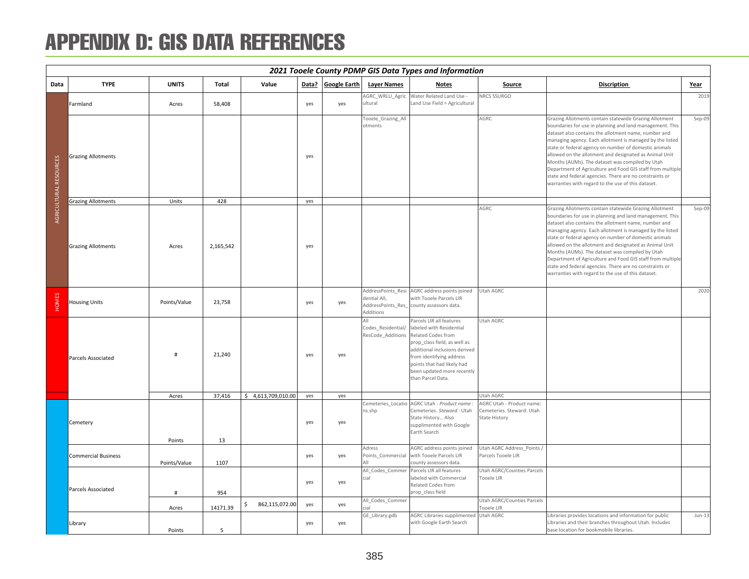## APPENDIX D: GIS DATA REFERENCES

|                        | 2021 Tooele County PDMP GIS Data Types and Information<br>Data? Google Earth |              |           |                      |     |     |                                                                      |                                                                                                                                                                                                                                                          |                                                                         |                                                                                                                                                                                                                                                                                                                                                                                                                                                                                                                                                                                             |          |  |  |
|------------------------|------------------------------------------------------------------------------|--------------|-----------|----------------------|-----|-----|----------------------------------------------------------------------|----------------------------------------------------------------------------------------------------------------------------------------------------------------------------------------------------------------------------------------------------------|-------------------------------------------------------------------------|---------------------------------------------------------------------------------------------------------------------------------------------------------------------------------------------------------------------------------------------------------------------------------------------------------------------------------------------------------------------------------------------------------------------------------------------------------------------------------------------------------------------------------------------------------------------------------------------|----------|--|--|
| Data                   | <b>TYPE</b>                                                                  | <b>UNITS</b> | Total     | Value                |     |     | <b>Layer Names</b>                                                   | Notes                                                                                                                                                                                                                                                    | Source                                                                  | <b>Discription</b>                                                                                                                                                                                                                                                                                                                                                                                                                                                                                                                                                                          | Year     |  |  |
|                        | Farmland                                                                     | Acres        | 58,408    |                      | yes | yes | AGRC WRLU Agric<br>ultural                                           | Water Related Land Use -<br>Land Use Field = Agricultural                                                                                                                                                                                                | NRCS SSURGO                                                             |                                                                                                                                                                                                                                                                                                                                                                                                                                                                                                                                                                                             | 2019     |  |  |
| AGRICULTURAL RESOURCES | <b>Grazing Allotments</b>                                                    |              |           |                      | yes |     | Tooele_Grazing_All<br>otments                                        |                                                                                                                                                                                                                                                          | AGRC                                                                    | Grazing Allotments contain statewide Grazing Allotment<br>boundaries for use in planning and land management. This<br>dataset also contains the allotment name, number and<br>managing agency. Each allotment is managed by the listed<br>state or federal agency on number of domestic animals<br>allowed on the allotment and designated as Animal Unit<br>Months (AUMs). The dataset was compiled by Utah<br>Department of Agriculture and Food GIS staff from multiple<br>state and federal agencies. There are no constraints or<br>warranties with regard to the use of this dataset. | Sep-09   |  |  |
|                        | <b>Grazing Allotments</b>                                                    | Units        | 428       |                      | yes |     |                                                                      |                                                                                                                                                                                                                                                          |                                                                         |                                                                                                                                                                                                                                                                                                                                                                                                                                                                                                                                                                                             |          |  |  |
|                        | <b>Grazing Allotments</b>                                                    | Acres        | 2,165,542 |                      | yes |     |                                                                      |                                                                                                                                                                                                                                                          | AGRC                                                                    | Grazing Allotments contain statewide Grazing Allotment<br>boundaries for use in planning and land management. This<br>dataset also contains the allotment name, number and<br>managing agency. Each allotment is managed by the listed<br>state or federal agency on number of domestic animals<br>allowed on the allotment and designated as Animal Unit<br>Months (AUMs). The dataset was compiled by Utah<br>Department of Agriculture and Food GIS staff from multiple<br>state and federal agencies. There are no constraints or<br>warranties with regard to the use of this dataset. | Sep-09   |  |  |
| HOMES                  | <b>Housing Units</b>                                                         | Points/Value | 23,758    |                      | yes | yes | AddressPoints_Resi<br>dential All,<br>AddressPoints_Res<br>Additions | AGRC address points joined<br>with Tooele Parcels LIR<br>county assessors data.                                                                                                                                                                          | Utah AGRC                                                               |                                                                                                                                                                                                                                                                                                                                                                                                                                                                                                                                                                                             | 2020     |  |  |
|                        | Parcels Associated                                                           | $\mathbf{H}$ | 21,240    |                      | yes | yes | Codes_Residential<br>ResCode Additions                               | Parcels LIR all features<br>labeled with Residential<br>Related Codes from<br>prop class field, as well as<br>additional inclusions derived<br>from identifying address<br>points that had likely had<br>been updated more recently<br>than Parcel Data. | Utah AGRC                                                               |                                                                                                                                                                                                                                                                                                                                                                                                                                                                                                                                                                                             |          |  |  |
|                        |                                                                              | Acres        | 37,416    | \$4,613,709,010.00   | yes | yes |                                                                      |                                                                                                                                                                                                                                                          | Utah AGRC                                                               |                                                                                                                                                                                                                                                                                                                                                                                                                                                                                                                                                                                             |          |  |  |
|                        | Cemetery                                                                     | Points       | 13        |                      | yes | yes | ns.shp                                                               | Cemeteries Locatio AGRC Utah - Product name:<br>Cemeteries. Steward: Utah<br>State History Also<br>supplimented with Google<br>Earth Search                                                                                                              | AGRC Utah - Product name:<br>Cemeteries. Steward: Utah<br>State History |                                                                                                                                                                                                                                                                                                                                                                                                                                                                                                                                                                                             |          |  |  |
|                        | <b>Commercial Business</b>                                                   | Points/Value | 1107      |                      | yes | yes | Adress<br>Points Commercial<br>ΔH                                    | AGRC address points joined<br>with Tooele Parcels LIR<br>county assessors data.                                                                                                                                                                          | Utah AGRC Address_Points /<br>Parcels Tooele LIR                        |                                                                                                                                                                                                                                                                                                                                                                                                                                                                                                                                                                                             |          |  |  |
|                        | Parcels Associated                                                           | #            | 954       |                      | yes | yes | All Codes Commer<br>cial<br>All_Codes_Commer                         | Parcels LIR all features<br>labeled with Commercial<br>Related Codes from<br>prop_class field                                                                                                                                                            | Utah AGRC/Counties Parcels<br>Tooele LIR<br>Utah AGRC/Counties Parcels  |                                                                                                                                                                                                                                                                                                                                                                                                                                                                                                                                                                                             |          |  |  |
|                        |                                                                              | Acres        | 14171.39  | \$<br>862,115,072.00 | yes | yes | GE_Library.gdb                                                       | <b>AGRC Libraries supplimented</b>                                                                                                                                                                                                                       | Tooele LIR<br>Utah AGRC                                                 | Libraries provides locations and information for public                                                                                                                                                                                                                                                                                                                                                                                                                                                                                                                                     | $Jun-13$ |  |  |
|                        | Library                                                                      | Points       | 5         |                      | yes | yes |                                                                      | with Google Earth Search                                                                                                                                                                                                                                 |                                                                         | Libraries and their branches throughout Utah. Includes<br>base location for bookmobile libraries.                                                                                                                                                                                                                                                                                                                                                                                                                                                                                           |          |  |  |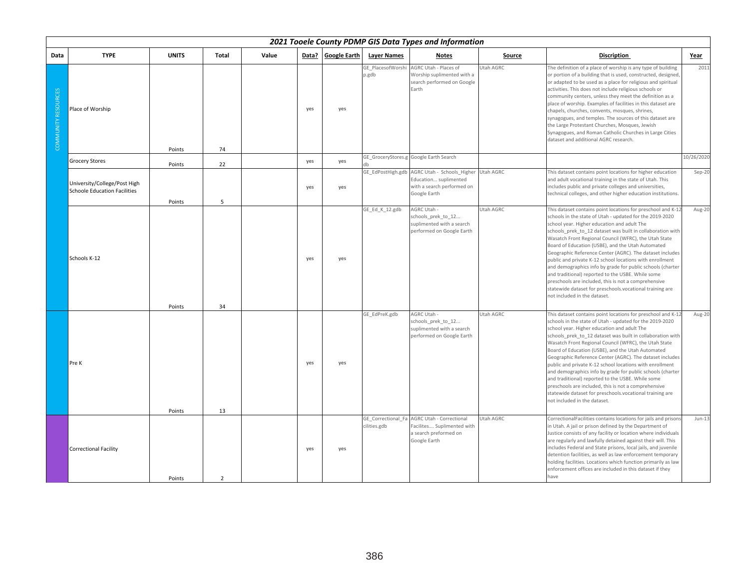|                     | 2021 Tooele County PDMP GIS Data Types and Information<br><b>TYPE</b><br><b>UNITS</b><br>Data? Google Earth<br>Total<br>Value<br><b>Layer Names</b><br><b>Notes</b><br><b>Discription</b><br>Year<br>Source |        |               |  |     |     |                                    |                                                                                                        |           |                                                                                                                                                                                                                                                                                                                                                                                                                                                                                                                                                                                                                                                                                                                                                   |            |  |  |  |
|---------------------|-------------------------------------------------------------------------------------------------------------------------------------------------------------------------------------------------------------|--------|---------------|--|-----|-----|------------------------------------|--------------------------------------------------------------------------------------------------------|-----------|---------------------------------------------------------------------------------------------------------------------------------------------------------------------------------------------------------------------------------------------------------------------------------------------------------------------------------------------------------------------------------------------------------------------------------------------------------------------------------------------------------------------------------------------------------------------------------------------------------------------------------------------------------------------------------------------------------------------------------------------------|------------|--|--|--|
| Data                |                                                                                                                                                                                                             |        |               |  |     |     |                                    |                                                                                                        |           |                                                                                                                                                                                                                                                                                                                                                                                                                                                                                                                                                                                                                                                                                                                                                   |            |  |  |  |
| COMMUNITY RESOURCES | Place of Worship                                                                                                                                                                                            | Points | 74            |  | yes | yes | GE PlacesofWorshi<br>p.gdb         | AGRC Utah - Places of<br>Worship suplimented with a<br>search performed on Google<br>Earth             | Utah AGRC | The definition of a place of worship is any type of building<br>or portion of a building that is used, constructed, designed<br>or adapted to be used as a place for religious and spiritual<br>activities. This does not include religious schools or<br>community centers, unless they meet the definition as a<br>place of worship. Examples of facilities in this dataset are<br>chapels, churches, convents, mosques, shrines,<br>synagogues, and temples. The sources of this dataset are<br>the Large Protestant Churches, Mosques, Jewish<br>Synagogues, and Roman Catholic Churches in Large Cities<br>dataset and additional AGRC research.                                                                                             | 2011       |  |  |  |
|                     | <b>Grocery Stores</b>                                                                                                                                                                                       | Points | 22            |  | yes | yes |                                    | GE_GroceryStores.g Google Earth Search                                                                 |           |                                                                                                                                                                                                                                                                                                                                                                                                                                                                                                                                                                                                                                                                                                                                                   | 10/26/2020 |  |  |  |
|                     | University/College/Post High<br><b>Schoole Education Facilities</b>                                                                                                                                         | Points | 5             |  | yes | yes | GE EdPostHigh.gdb                  | AGRC Utah - Schools Higher<br>Education suplimented<br>with a search performed on<br>Google Earth      | Utah AGRC | This dataset contains point locations for higher education<br>and adult vocational training in the state of Utah. This<br>includes public and private colleges and universities,<br>technical colleges, and other higher education institutions.                                                                                                                                                                                                                                                                                                                                                                                                                                                                                                  | Sep-20     |  |  |  |
|                     | Schools K-12                                                                                                                                                                                                | Points | 34            |  | yes | yes | GE Ed K 12.gdb                     | AGRC Utah -<br>schools prek to 12<br>suplimented with a search<br>performed on Google Earth            | Utah AGRC | This dataset contains point locations for preschool and K-1<br>schools in the state of Utah - updated for the 2019-2020<br>school year. Higher education and adult The<br>schools_prek_to_12 dataset was built in collaboration with<br>Wasatch Front Regional Council (WFRC), the Utah State<br>Board of Education (USBE), and the Utah Automated<br>Geographic Reference Center (AGRC). The dataset includes<br>public and private K-12 school locations with enrollment<br>and demographics info by grade for public schools (charter<br>and traditional) reported to the USBE. While some<br>preschools are included, this is not a comprehensive<br>statewide dataset for preschools.vocational training are<br>not included in the dataset. | Aug-20     |  |  |  |
|                     | Pre K                                                                                                                                                                                                       | Points | 13            |  | yes | yes | GE EdPreK.gdb                      | AGRC Utah -<br>schools prek to 12<br>suplimented with a search<br>performed on Google Earth            | Utah AGRC | This dataset contains point locations for preschool and K-1<br>schools in the state of Utah - updated for the 2019-2020<br>school year. Higher education and adult The<br>schools_prek_to_12 dataset was built in collaboration with<br>Wasatch Front Regional Council (WFRC), the Utah State<br>Board of Education (USBE), and the Utah Automated<br>Geographic Reference Center (AGRC). The dataset includes<br>public and private K-12 school locations with enrollment<br>and demographics info by grade for public schools (charter<br>and traditional) reported to the USBE. While some<br>preschools are included, this is not a comprehensive<br>statewide dataset for preschools.vocational training are<br>not included in the dataset. | Aug-20     |  |  |  |
|                     | <b>Correctional Facility</b>                                                                                                                                                                                | Points | $\mathcal{P}$ |  | yes | yes | GE Correctional Fa<br>cilities.gdb | <b>AGRC Utah - Correctional</b><br>Facilites Suplimented with<br>a search preformed on<br>Google Earth | Utah AGRC | CorrectionalFacilities contains locations for jails and prison<br>in Utah. A jail or prison defined by the Department of<br>Justice consists of any facility or location where individuals<br>are regularly and lawfully detained against their will. This<br>includes Federal and State prisons, local jails, and juvenile<br>detention facilities, as well as law enforcement temporary<br>holding facilities. Locations which function primarily as law<br>enforcement offices are included in this dataset if they<br>have                                                                                                                                                                                                                    | $Jun-13$   |  |  |  |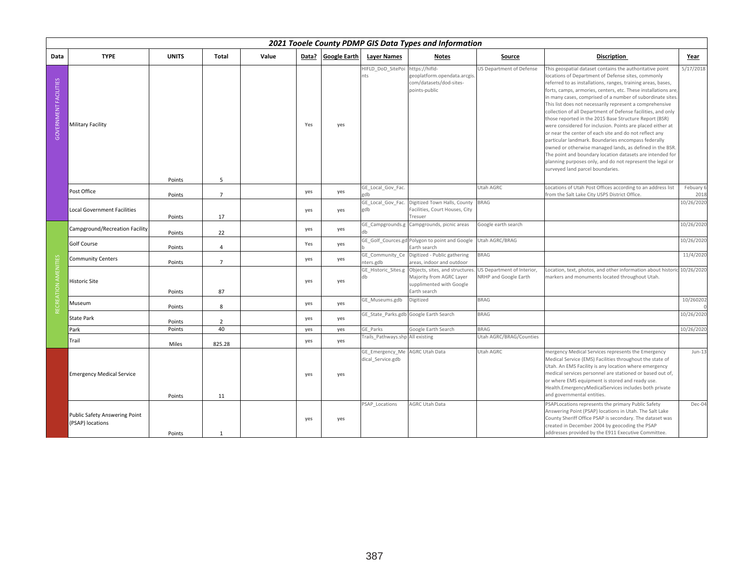|                              | 2021 Tooele County PDMP GIS Data Types and Information<br><b>TYPE</b><br><b>UNITS</b><br><b>Google Earth</b><br><b>Layer Names</b><br><b>Total</b><br>Value<br>Data?<br><b>Discription</b><br><b>Notes</b><br>Source<br>Year |        |                |  |     |     |                                      |                                                                                                         |                                                     |                                                                                                                                                                                                                                                                                                                                                                                                                                                                                                                                                                                                                                                                                                                                                                                                                                                                                                               |                   |  |  |  |
|------------------------------|------------------------------------------------------------------------------------------------------------------------------------------------------------------------------------------------------------------------------|--------|----------------|--|-----|-----|--------------------------------------|---------------------------------------------------------------------------------------------------------|-----------------------------------------------------|---------------------------------------------------------------------------------------------------------------------------------------------------------------------------------------------------------------------------------------------------------------------------------------------------------------------------------------------------------------------------------------------------------------------------------------------------------------------------------------------------------------------------------------------------------------------------------------------------------------------------------------------------------------------------------------------------------------------------------------------------------------------------------------------------------------------------------------------------------------------------------------------------------------|-------------------|--|--|--|
| Data                         |                                                                                                                                                                                                                              |        |                |  |     |     |                                      |                                                                                                         |                                                     |                                                                                                                                                                                                                                                                                                                                                                                                                                                                                                                                                                                                                                                                                                                                                                                                                                                                                                               |                   |  |  |  |
| <b>GOVERNMENT FACILITIES</b> | <b>Military Facility</b>                                                                                                                                                                                                     | Points | 5              |  | Yes | yes | HIFLD DoD SitePoi<br>nts             | https://hifld-<br>geoplatform.opendata.arcgis.<br>com/datasets/dod-sites-<br>points-public              | JS Department of Defense                            | This geospatial dataset contains the authoritative point<br>locations of Department of Defense sites, commonly<br>referred to as installations, ranges, training areas, bases,<br>forts, camps, armories, centers, etc. These installations are,<br>in many cases, comprised of a number of subordinate sites.<br>This list does not necessarily represent a comprehensive<br>collection of all Department of Defense facilities, and only<br>those reported in the 2015 Base Structure Report (BSR)<br>were considered for inclusion. Points are placed either at<br>or near the center of each site and do not reflect any<br>particular landmark. Boundaries encompass federally<br>owned or otherwise managed lands, as defined in the BSR.<br>The point and boundary location datasets are intended for<br>planning purposes only, and do not represent the legal or<br>surveyed land parcel boundaries. | 5/17/2018         |  |  |  |
|                              | Post Office                                                                                                                                                                                                                  | Points | $\overline{7}$ |  | yes | yes | GE_Local_Gov_Fac.                    |                                                                                                         | Utah AGRC                                           | Locations of Utah Post Offices according to an address list<br>from the Salt Lake City USPS District Office.                                                                                                                                                                                                                                                                                                                                                                                                                                                                                                                                                                                                                                                                                                                                                                                                  | Febuary 6<br>2018 |  |  |  |
|                              | Local Government Facilities                                                                                                                                                                                                  | Points | 17             |  | yes | yes | GE Local Gov Fac.<br>gdb             | Digitized Town Halls, County<br>Facilities, Court Houses, City<br>Tresuer                               | <b>BRAG</b>                                         |                                                                                                                                                                                                                                                                                                                                                                                                                                                                                                                                                                                                                                                                                                                                                                                                                                                                                                               | 10/26/2020        |  |  |  |
|                              | Campground/Recreation Facility                                                                                                                                                                                               | Points | 22             |  | yes | yes | GE Campgrounds.g                     | Campgrounds, picnic areas                                                                               | Google earth search                                 |                                                                                                                                                                                                                                                                                                                                                                                                                                                                                                                                                                                                                                                                                                                                                                                                                                                                                                               | 10/26/2020        |  |  |  |
|                              | Golf Course                                                                                                                                                                                                                  | Points | $\overline{4}$ |  | Yes | yes |                                      | GE Golf Cources.gd Polygon to point and Google<br>Earth search                                          | Utah AGRC/BRAG                                      |                                                                                                                                                                                                                                                                                                                                                                                                                                                                                                                                                                                                                                                                                                                                                                                                                                                                                                               | 10/26/2020        |  |  |  |
|                              | <b>Community Centers</b>                                                                                                                                                                                                     | Points | $\overline{7}$ |  | yes | yes | GE Community_Ce<br>nters.gdb         | Digitized - Public gathering<br>areas, indoor and outdoor                                               | <b>BRAG</b>                                         |                                                                                                                                                                                                                                                                                                                                                                                                                                                                                                                                                                                                                                                                                                                                                                                                                                                                                                               | 11/4/2020         |  |  |  |
| AMENIT                       | <b>Historic Site</b>                                                                                                                                                                                                         | Points | 87             |  | yes | yes | GE Historic Sites.g<br>db            | Objects, sites, and structures.<br>Majority from AGRC Layer<br>supplimented with Google<br>Earth search | US Department of Interior,<br>NRHP and Google Earth | Location, text, photos, and other information about historic<br>markers and monuments located throughout Utah.                                                                                                                                                                                                                                                                                                                                                                                                                                                                                                                                                                                                                                                                                                                                                                                                | 10/26/2020        |  |  |  |
| RECREATION                   | Museum                                                                                                                                                                                                                       | Points | 8              |  | yes | yes | GE Museums.gdb                       | Digitized                                                                                               | <b>BRAG</b>                                         |                                                                                                                                                                                                                                                                                                                                                                                                                                                                                                                                                                                                                                                                                                                                                                                                                                                                                                               | 10/260202         |  |  |  |
|                              | <b>State Park</b>                                                                                                                                                                                                            | Points | $\overline{2}$ |  | yes | yes |                                      | GE_State_Parks.gdb Google Earth Search                                                                  | <b>BRAG</b>                                         |                                                                                                                                                                                                                                                                                                                                                                                                                                                                                                                                                                                                                                                                                                                                                                                                                                                                                                               | 10/26/2020        |  |  |  |
|                              | Park                                                                                                                                                                                                                         | Points | 40             |  | yes | yes | GE Parks                             | Google Earth Search                                                                                     | <b>BRAG</b>                                         |                                                                                                                                                                                                                                                                                                                                                                                                                                                                                                                                                                                                                                                                                                                                                                                                                                                                                                               | 10/26/2020        |  |  |  |
|                              | Trail                                                                                                                                                                                                                        | Miles  | 825.28         |  | yes | yes | Trails Pathways.shp All existing     |                                                                                                         | Utah AGRC/BRAG/Counties                             |                                                                                                                                                                                                                                                                                                                                                                                                                                                                                                                                                                                                                                                                                                                                                                                                                                                                                                               |                   |  |  |  |
|                              | <b>Emergency Medical Service</b>                                                                                                                                                                                             | Points | 11             |  | yes | yes | GE Emergency Me<br>dical Service.gdb | AGRC Utah Data                                                                                          | Utah AGRC                                           | mergency Medical Services represents the Emergency<br>Medical Service (EMS) Facilities throughout the state of<br>Utah. An EMS Facility is any location where emergency<br>medical services personnel are stationed or based out of,<br>or where EMS equipment is stored and ready use.<br>Health.EmergencyMedicalServices includes both private<br>and governmental entities.                                                                                                                                                                                                                                                                                                                                                                                                                                                                                                                                | $Jun-13$          |  |  |  |
|                              | Public Safety Answering Point<br>(PSAP) locations                                                                                                                                                                            | Points | $\mathbf{1}$   |  | yes | yes | PSAP_Locations                       | AGRC Utah Data                                                                                          |                                                     | PSAPLocations represents the primary Public Safety<br>Answering Point (PSAP) locations in Utah. The Salt Lake<br>County Sheriff Office PSAP is secondary. The dataset was<br>created in December 2004 by geocoding the PSAP<br>addresses provided by the E911 Executive Committee.                                                                                                                                                                                                                                                                                                                                                                                                                                                                                                                                                                                                                            | Dec-04            |  |  |  |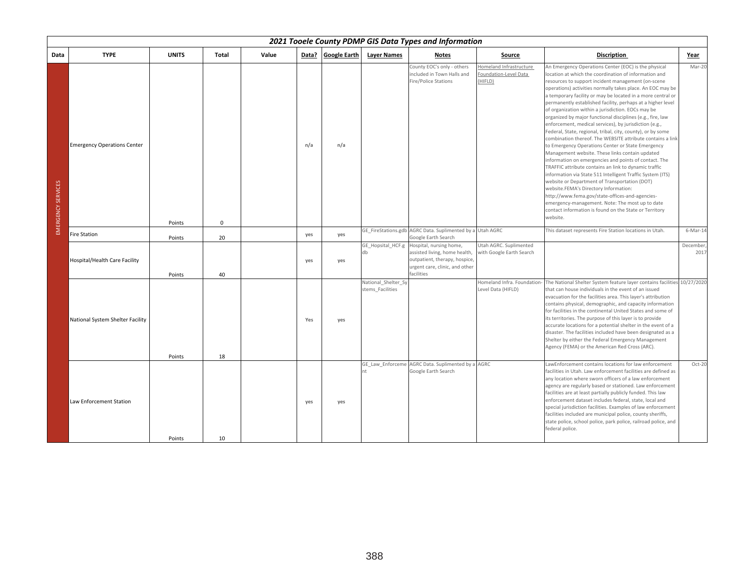|                    | 2021 Tooele County PDMP GIS Data Types and Information<br><b>TYPE</b><br><b>UNITS</b><br>Data? Google Earth<br><b>Layer Names</b><br>Total<br>Value<br><b>Discription</b><br><b>Notes</b><br>Source<br>Year |        |             |  |     |     |                                         |                                                                                                                                           |                                                             |                                                                                                                                                                                                                                                                                                                                                                                                                                                                                                                                                                                                                                                                                                                                                                                                                                                                                                                                                                                                                                                                                                                                                                                                                                          |                  |  |  |  |
|--------------------|-------------------------------------------------------------------------------------------------------------------------------------------------------------------------------------------------------------|--------|-------------|--|-----|-----|-----------------------------------------|-------------------------------------------------------------------------------------------------------------------------------------------|-------------------------------------------------------------|------------------------------------------------------------------------------------------------------------------------------------------------------------------------------------------------------------------------------------------------------------------------------------------------------------------------------------------------------------------------------------------------------------------------------------------------------------------------------------------------------------------------------------------------------------------------------------------------------------------------------------------------------------------------------------------------------------------------------------------------------------------------------------------------------------------------------------------------------------------------------------------------------------------------------------------------------------------------------------------------------------------------------------------------------------------------------------------------------------------------------------------------------------------------------------------------------------------------------------------|------------------|--|--|--|
| Data               |                                                                                                                                                                                                             |        |             |  |     |     |                                         |                                                                                                                                           |                                                             |                                                                                                                                                                                                                                                                                                                                                                                                                                                                                                                                                                                                                                                                                                                                                                                                                                                                                                                                                                                                                                                                                                                                                                                                                                          |                  |  |  |  |
| EMERGENCY SERVICES | <b>Emergency Operations Center</b>                                                                                                                                                                          | Points | $\mathbf 0$ |  | n/a | n/a |                                         | County EOC's only - others<br>included in Town Halls and<br>Fire/Police Stations                                                          | Homeland Infrastructure<br>Foundation-Level Data<br>(HIFLD) | An Emergency Operations Center (EOC) is the physical<br>location at which the coordination of information and<br>resources to support incident management (on-scene<br>operations) activities normally takes place. An EOC may be<br>a temporary facility or may be located in a more central or<br>permanently established facility, perhaps at a higher level<br>of organization within a jurisdiction. EOCs may be<br>organized by major functional disciplines (e.g., fire, law<br>enforcement, medical services), by jurisdiction (e.g.,<br>Federal, State, regional, tribal, city, county), or by some<br>combination thereof. The WEBSITE attribute contains a link<br>to Emergency Operations Center or State Emergency<br>Management website. These links contain updated<br>information on emergencies and points of contact. The<br>TRAFFIC attribute contains an link to dynamic traffic<br>information via State 511 Intelligent Traffic System (ITS)<br>website or Department of Transportation (DOT)<br>website.FEMA's Directory Information:<br>http://www.fema.gov/state-offices-and-agencies-<br>emergency-management. Note: The most up to date<br>contact information is found on the State or Territory<br>website. | Mar-20           |  |  |  |
|                    | <b>Fire Station</b>                                                                                                                                                                                         | Points | 20          |  | yes | yes |                                         | GE_FireStations.gdb AGRC Data. Suplimented by a Utah AGRC<br>Google Earth Search                                                          |                                                             | This dataset represents Fire Station locations in Utah.                                                                                                                                                                                                                                                                                                                                                                                                                                                                                                                                                                                                                                                                                                                                                                                                                                                                                                                                                                                                                                                                                                                                                                                  | $6$ -Mar-14      |  |  |  |
|                    | Hospital/Health Care Facility                                                                                                                                                                               | Points | 40          |  | yes | yes | GE Hopsital HCF.g<br>db                 | Hospital, nursing home,<br>assisted living, home health,<br>outpatient, therapy, hospice,<br>urgent care, clinic, and other<br>facilities | Utah AGRC. Suplimented<br>with Google Earth Search          |                                                                                                                                                                                                                                                                                                                                                                                                                                                                                                                                                                                                                                                                                                                                                                                                                                                                                                                                                                                                                                                                                                                                                                                                                                          | December<br>2017 |  |  |  |
|                    | National System Shelter Facility                                                                                                                                                                            | Points | 18          |  | Yes | yes | National Shelter Sy<br>stems Facilities |                                                                                                                                           | Homeland Infra. Foundation-<br>Level Data (HIFLD)           | The National Shelter System feature layer contains facilities 10/27/2020<br>that can house individuals in the event of an issued<br>evacuation for the facilities area. This layer's attribution<br>contains physical, demographic, and capacity information<br>for facilities in the continental United States and some of<br>its territories. The purpose of this layer is to provide<br>accurate locations for a potential shelter in the event of a<br>disaster. The facilities included have been designated as a<br>Shelter by either the Federal Emergency Management<br>Agency (FEMA) or the American Red Cross (ARC).                                                                                                                                                                                                                                                                                                                                                                                                                                                                                                                                                                                                           |                  |  |  |  |
|                    | Law Enforcement Station                                                                                                                                                                                     | Points | 10          |  | yes | yes | nt                                      | GE Law Enforceme AGRC Data. Suplimented by a AGRC<br>Google Earth Search                                                                  |                                                             | LawEnforcement contains locations for law enforcement<br>facilities in Utah. Law enforcement facilities are defined as<br>any location where sworn officers of a law enforcement<br>agency are regularly based or stationed. Law enforcement<br>facilities are at least partially publicly funded. This law<br>enforcement dataset includes federal, state, local and<br>special jurisdiction facilities. Examples of law enforcement<br>facilities included are municipal police, county sheriffs,<br>state police, school police, park police, railroad police, and<br>federal police.                                                                                                                                                                                                                                                                                                                                                                                                                                                                                                                                                                                                                                                 | Oct-20           |  |  |  |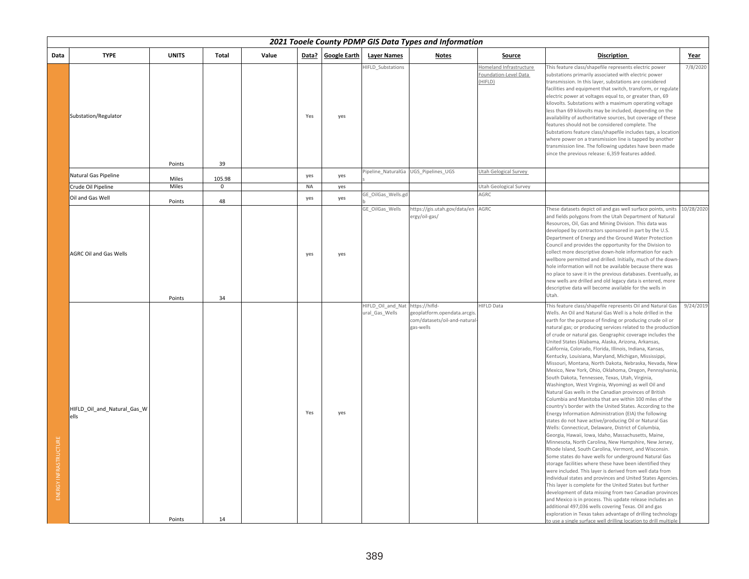|                       |                                     |              |             |       |           |                    |                                                    | 2021 Tooele County PDMP GIS Data Types and Information                    |                                                             |                                                                                                                                                                                                                                                                                                                                                                                                                                                                                                                                                                                                                                                                                                                                                                                                                                                                                                                                                                                                                                                                                                                                                                                                                                                                                                                                                                                                                                                                                                                                                                                                                                                                                                                                                                                                                                                                                                     |             |
|-----------------------|-------------------------------------|--------------|-------------|-------|-----------|--------------------|----------------------------------------------------|---------------------------------------------------------------------------|-------------------------------------------------------------|-----------------------------------------------------------------------------------------------------------------------------------------------------------------------------------------------------------------------------------------------------------------------------------------------------------------------------------------------------------------------------------------------------------------------------------------------------------------------------------------------------------------------------------------------------------------------------------------------------------------------------------------------------------------------------------------------------------------------------------------------------------------------------------------------------------------------------------------------------------------------------------------------------------------------------------------------------------------------------------------------------------------------------------------------------------------------------------------------------------------------------------------------------------------------------------------------------------------------------------------------------------------------------------------------------------------------------------------------------------------------------------------------------------------------------------------------------------------------------------------------------------------------------------------------------------------------------------------------------------------------------------------------------------------------------------------------------------------------------------------------------------------------------------------------------------------------------------------------------------------------------------------------------|-------------|
| Data                  | <b>TYPE</b>                         | <b>UNITS</b> | Total       | Value |           | Data? Google Earth | <b>Layer Names</b>                                 | <b>Notes</b>                                                              | Source                                                      | <b>Discription</b>                                                                                                                                                                                                                                                                                                                                                                                                                                                                                                                                                                                                                                                                                                                                                                                                                                                                                                                                                                                                                                                                                                                                                                                                                                                                                                                                                                                                                                                                                                                                                                                                                                                                                                                                                                                                                                                                                  | <u>Year</u> |
|                       | Substation/Regulator                | Points       | 39          |       | Yes       | yes                | HIFLD Substations                                  |                                                                           | Homeland Infrastructure<br>Foundation-Level Data<br>(HIFLD) | This feature class/shapefile represents electric power<br>substations primarily associated with electric power<br>transmission. In this layer, substations are considered<br>facilities and equipment that switch, transform, or regulate<br>electric power at voltages equal to, or greater than, 69<br>kilovolts. Substations with a maximum operating voltage<br>less than 69 kilovolts may be included, depending on the<br>availability of authoritative sources, but coverage of these<br>features should not be considered complete. The<br>Substations feature class/shapefile includes taps, a location<br>where power on a transmission line is tapped by another<br>transmission line. The following updates have been made<br>since the previous release: 6,359 features added.                                                                                                                                                                                                                                                                                                                                                                                                                                                                                                                                                                                                                                                                                                                                                                                                                                                                                                                                                                                                                                                                                                         | 7/8/2020    |
|                       | Natural Gas Pipeline                | Miles        | 105.98      |       | yes       | yes                |                                                    | Pipeline NaturalGa UGS Pipelines UGS                                      | Utah Gelogical Survey                                       |                                                                                                                                                                                                                                                                                                                                                                                                                                                                                                                                                                                                                                                                                                                                                                                                                                                                                                                                                                                                                                                                                                                                                                                                                                                                                                                                                                                                                                                                                                                                                                                                                                                                                                                                                                                                                                                                                                     |             |
|                       | Crude Oil Pipeline                  | Miles        | $\mathbf 0$ |       | <b>NA</b> | yes                |                                                    |                                                                           | Utah Geological Survey                                      |                                                                                                                                                                                                                                                                                                                                                                                                                                                                                                                                                                                                                                                                                                                                                                                                                                                                                                                                                                                                                                                                                                                                                                                                                                                                                                                                                                                                                                                                                                                                                                                                                                                                                                                                                                                                                                                                                                     |             |
|                       | Oil and Gas Well                    | Points       | 48          |       | yes       | yes                | GE OilGas Wells.gd                                 |                                                                           | AGRC                                                        |                                                                                                                                                                                                                                                                                                                                                                                                                                                                                                                                                                                                                                                                                                                                                                                                                                                                                                                                                                                                                                                                                                                                                                                                                                                                                                                                                                                                                                                                                                                                                                                                                                                                                                                                                                                                                                                                                                     |             |
|                       | <b>AGRC Oil and Gas Wells</b>       |              |             |       | yes       | yes                | GE OilGas Wells                                    | https://gis.utah.gov/data/en AGRC<br>ergy/oil-gas/                        |                                                             | These datasets depict oil and gas well surface points, units<br>and fields polygons from the Utah Department of Natural<br>Resources, Oil, Gas and Mining Division. This data was<br>developed by contractors sponsored in part by the U.S.<br>Department of Energy and the Ground Water Protection<br>Council and provides the opportunity for the Division to<br>collect more descriptive down-hole information for each<br>wellbore permitted and drilled. Initially, much of the down<br>hole information will not be available because there was<br>no place to save it in the previous databases. Eventually, as<br>new wells are drilled and old legacy data is entered, more<br>descriptive data will become available for the wells in                                                                                                                                                                                                                                                                                                                                                                                                                                                                                                                                                                                                                                                                                                                                                                                                                                                                                                                                                                                                                                                                                                                                                     | 10/28/2020  |
|                       |                                     | Points       | 34          |       |           |                    |                                                    |                                                                           |                                                             | Utah.                                                                                                                                                                                                                                                                                                                                                                                                                                                                                                                                                                                                                                                                                                                                                                                                                                                                                                                                                                                                                                                                                                                                                                                                                                                                                                                                                                                                                                                                                                                                                                                                                                                                                                                                                                                                                                                                                               |             |
| ENERGY INFRASTRUCTURE | HIFLD_Oil_and_Natural_Gas_W<br>ells | Points       | 14          |       | Yes       | yes                | HIFLD Oil and Nat https://hifld-<br>ural_Gas_Wells | geoplatform.opendata.arcgis<br>com/datasets/oil-and-natural-<br>gas-wells | <b>HIFLD Data</b>                                           | This feature class/shapefile represents Oil and Natural Gas<br>Wells. An Oil and Natural Gas Well is a hole drilled in the<br>earth for the purpose of finding or producing crude oil or<br>natural gas; or producing services related to the production<br>of crude or natural gas. Geographic coverage includes the<br>United States (Alabama, Alaska, Arizona, Arkansas,<br>California, Colorado, Florida, Illinois, Indiana, Kansas,<br>Kentucky, Louisiana, Maryland, Michigan, Mississippi,<br>Missouri, Montana, North Dakota, Nebraska, Nevada, New<br>Mexico, New York, Ohio, Oklahoma, Oregon, Pennsylvania,<br>South Dakota, Tennessee, Texas, Utah, Virginia,<br>Washington, West Virginia, Wyoming) as well Oil and<br>Natural Gas wells in the Canadian provinces of British<br>Columbia and Manitoba that are within 100 miles of the<br>country's border with the United States. According to the<br>Energy Information Administration (EIA) the following<br>states do not have active/producing Oil or Natural Gas<br>Wells: Connecticut, Delaware, District of Columbia,<br>Georgia, Hawaii, Iowa, Idaho, Massachusetts, Maine,<br>Minnesota, North Carolina, New Hampshire, New Jersey,<br>Rhode Island, South Carolina, Vermont, and Wisconsin.<br>Some states do have wells for underground Natural Gas<br>storage facilities where these have been identified they<br>were included. This layer is derived from well data from<br>individual states and provinces and United States Agencies.<br>This layer is complete for the United States but further<br>development of data missing from two Canadian provinces<br>and Mexico is in process. This update release includes an<br>additional 497,036 wells covering Texas. Oil and gas<br>exploration in Texas takes advantage of drilling technology<br>to use a single surface well drilling location to drill multiple | 9/24/2019   |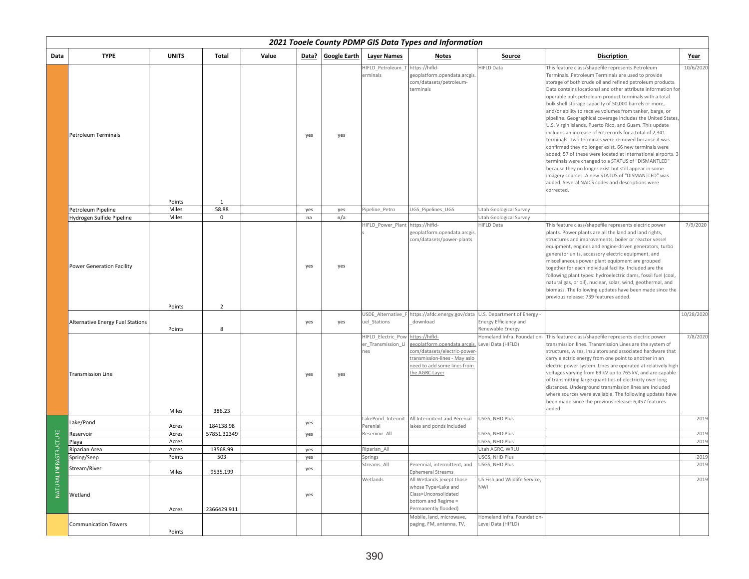|                  |                                  | 2021 Tooele County PDMP GIS Data Types and Information<br><b>TYPE</b><br><b>UNITS</b><br>Value<br>Data?<br>Google Earth<br><b>Layer Names</b><br>Total<br><b>Discription</b><br>Notes<br>Source<br>Year |                          |  |     |     |                                                 |                                                                                                                                                              |                                                   |                                                                                                                                                                                                                                                                                                                                                                                                                                                                                                                                                                                                                                                                                                                                                                                                                                                                                                                                                                                                                                  |            |  |  |
|------------------|----------------------------------|---------------------------------------------------------------------------------------------------------------------------------------------------------------------------------------------------------|--------------------------|--|-----|-----|-------------------------------------------------|--------------------------------------------------------------------------------------------------------------------------------------------------------------|---------------------------------------------------|----------------------------------------------------------------------------------------------------------------------------------------------------------------------------------------------------------------------------------------------------------------------------------------------------------------------------------------------------------------------------------------------------------------------------------------------------------------------------------------------------------------------------------------------------------------------------------------------------------------------------------------------------------------------------------------------------------------------------------------------------------------------------------------------------------------------------------------------------------------------------------------------------------------------------------------------------------------------------------------------------------------------------------|------------|--|--|
| Data             |                                  |                                                                                                                                                                                                         |                          |  |     |     |                                                 |                                                                                                                                                              |                                                   |                                                                                                                                                                                                                                                                                                                                                                                                                                                                                                                                                                                                                                                                                                                                                                                                                                                                                                                                                                                                                                  |            |  |  |
|                  | Petroleum Terminals              | Points                                                                                                                                                                                                  | 1                        |  | yes | yes | HIFLD Petroleum<br>erminals                     | https://hifld-<br>geoplatform.opendata.arcgis<br>com/datasets/petroleum-<br>terminals                                                                        | <b>HIFLD Data</b>                                 | This feature class/shapefile represents Petroleum<br>Terminals. Petroleum Terminals are used to provide<br>storage of both crude oil and refined petroleum products.<br>Data contains locational and other attribute information for<br>operable bulk petroleum product terminals with a total<br>bulk shell storage capacity of 50,000 barrels or more,<br>and/or ability to receive volumes from tanker, barge, or<br>pipeline. Geographical coverage includes the United States,<br>U.S. Virgin Islands, Puerto Rico, and Guam. This update<br>includes an increase of 62 records for a total of 2,341<br>terminals. Two terminals were removed because it was<br>confirmed they no longer exist. 66 new terminals were<br>added; 57 of these were located at international airports. 3<br>terminals were changed to a STATUS of "DISMANTLED"<br>because they no longer exist but still appear in some<br>imagery sources. A new STATUS of "DISMANTLED" was<br>added. Several NAICS codes and descriptions were<br>corrected. | 10/6/2020  |  |  |
|                  | Petroleum Pipeline               | Miles                                                                                                                                                                                                   | 58.88                    |  | yes | yes | Pipeline_Petro                                  | JGS_Pipelines_UGS                                                                                                                                            | Utah Geological Survey                            |                                                                                                                                                                                                                                                                                                                                                                                                                                                                                                                                                                                                                                                                                                                                                                                                                                                                                                                                                                                                                                  |            |  |  |
|                  | Hydrogen Sulfide Pipeline        | Miles                                                                                                                                                                                                   | 0                        |  | na  | n/a |                                                 |                                                                                                                                                              | Utah Geological Survey                            |                                                                                                                                                                                                                                                                                                                                                                                                                                                                                                                                                                                                                                                                                                                                                                                                                                                                                                                                                                                                                                  |            |  |  |
|                  | <b>Power Generation Facility</b> | Points                                                                                                                                                                                                  | $\overline{2}$           |  | yes | yes | HIFLD Power Plant                               | https://hifld-<br>geoplatform.opendata.arcgis.<br>com/datasets/power-plants                                                                                  | <b>HIFLD Data</b>                                 | This feature class/shapefile represents electric power<br>plants. Power plants are all the land and land rights,<br>structures and improvements, boiler or reactor vessel<br>equipment, engines and engine-driven generators, turbo<br>generator units, accessory electric equipment, and<br>miscellaneous power plant equipment are grouped<br>together for each individual facility. Included are the<br>following plant types: hydroelectric dams, fossil fuel (coal,<br>natural gas, or oil), nuclear, solar, wind, geothermal, and<br>biomass. The following updates have been made since the<br>previous release: 739 features added.                                                                                                                                                                                                                                                                                                                                                                                      | 7/9/2020   |  |  |
|                  | Alternative Energy Fuel Stations | Points                                                                                                                                                                                                  | 8                        |  | yes | yes | USDE Alternative F<br>uel Stations              | https://afdc.energy.gov/data U.S. Department of Energy -<br>download                                                                                         | Energy Efficiency and<br>Renewable Energy         |                                                                                                                                                                                                                                                                                                                                                                                                                                                                                                                                                                                                                                                                                                                                                                                                                                                                                                                                                                                                                                  | 10/28/2020 |  |  |
|                  | <b>Transmission Line</b>         | Miles                                                                                                                                                                                                   | 386.23                   |  | yes | yes | HIFLD Electric Pow<br>er_Transmission_Li<br>nes | https://hifld-<br>eoplatform.opendata.arcgis<br>com/datasets/electric-power-<br>ransmission-lines - May aslo<br>eed to add some lines from<br>the AGRC Layer | Homeland Infra. Foundation-<br>Level Data (HIFLD) | This feature class/shapefile represents electric power<br>transmission lines. Transmission Lines are the system of<br>structures, wires, insulators and associated hardware that<br>carry electric energy from one point to another in an<br>electric power system. Lines are operated at relatively high<br>voltages varying from 69 kV up to 765 kV, and are capable<br>of transmitting large quantities of electricity over long<br>distances. Underground transmission lines are included<br>where sources were available. The following updates have<br>been made since the previous release: 6,457 features<br>added                                                                                                                                                                                                                                                                                                                                                                                                       | 7/8/2020   |  |  |
|                  | Lake/Pond                        |                                                                                                                                                                                                         |                          |  | yes |     | LakePond Intermit                               | All Intermitent and Perenial                                                                                                                                 | USGS, NHD Plus                                    |                                                                                                                                                                                                                                                                                                                                                                                                                                                                                                                                                                                                                                                                                                                                                                                                                                                                                                                                                                                                                                  | 2019       |  |  |
|                  | Reservoir                        | Acres<br>Acres                                                                                                                                                                                          | 184138.98<br>57851.32349 |  | yes |     | Perenial<br>Reservoir_All                       | akes and ponds included                                                                                                                                      | USGS, NHD Plus                                    |                                                                                                                                                                                                                                                                                                                                                                                                                                                                                                                                                                                                                                                                                                                                                                                                                                                                                                                                                                                                                                  | 2019       |  |  |
|                  | Playa                            | Acres                                                                                                                                                                                                   |                          |  |     |     |                                                 |                                                                                                                                                              | USGS, NHD Plus                                    |                                                                                                                                                                                                                                                                                                                                                                                                                                                                                                                                                                                                                                                                                                                                                                                                                                                                                                                                                                                                                                  | 2019       |  |  |
| <b>STRUCTURE</b> | Riparian Area                    | Acres                                                                                                                                                                                                   | 13568.99                 |  | yes |     | Riparian All                                    |                                                                                                                                                              | Utah AGRC, WRLU                                   |                                                                                                                                                                                                                                                                                                                                                                                                                                                                                                                                                                                                                                                                                                                                                                                                                                                                                                                                                                                                                                  |            |  |  |
|                  | Spring/Seep                      | Points                                                                                                                                                                                                  | 503                      |  | yes |     | Springs                                         |                                                                                                                                                              | USGS, NHD Plus                                    |                                                                                                                                                                                                                                                                                                                                                                                                                                                                                                                                                                                                                                                                                                                                                                                                                                                                                                                                                                                                                                  | 2019       |  |  |
|                  | Stream/River                     | Miles                                                                                                                                                                                                   | 9535.199                 |  | yes |     | Streams All                                     | Perennial, intermittent, and<br><b>Ephemeral Streams</b>                                                                                                     | USGS, NHD Plus                                    |                                                                                                                                                                                                                                                                                                                                                                                                                                                                                                                                                                                                                                                                                                                                                                                                                                                                                                                                                                                                                                  | 2019       |  |  |
| NATURAL INFRA    | Wetland                          | Acres                                                                                                                                                                                                   | 2366429.911              |  | yes |     | Wetlands                                        | All Wetlands ) exept those<br>whose Type=Lake and<br>Class=Unconsolidated<br>bottom and Regime =<br>Permanently flooded)                                     | US Fish and Wildlife Service,<br><b>NWI</b>       |                                                                                                                                                                                                                                                                                                                                                                                                                                                                                                                                                                                                                                                                                                                                                                                                                                                                                                                                                                                                                                  | 2019       |  |  |
|                  | <b>Communication Towers</b>      | Points                                                                                                                                                                                                  |                          |  |     |     |                                                 | Mobile, land, microwave,<br>paging, FM, antenna, TV,                                                                                                         | Homeland Infra. Foundation<br>Level Data (HIFLD)  |                                                                                                                                                                                                                                                                                                                                                                                                                                                                                                                                                                                                                                                                                                                                                                                                                                                                                                                                                                                                                                  |            |  |  |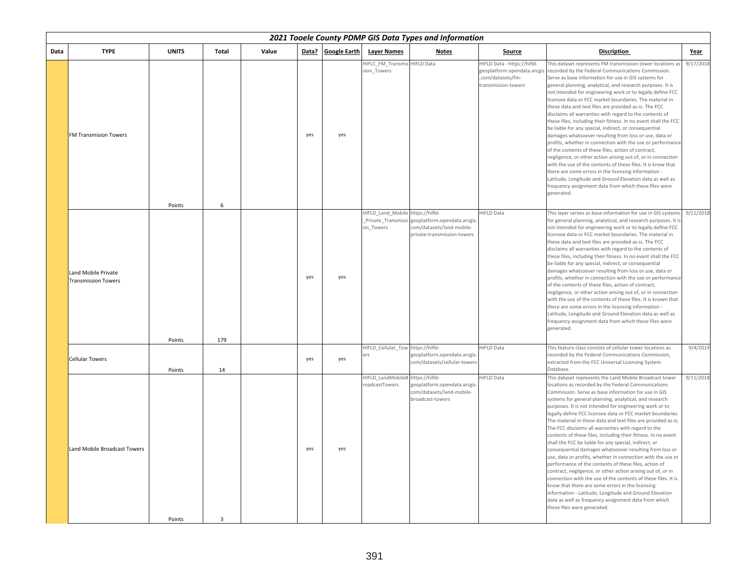|      | 2021 Tooele County PDMP GIS Data Types and Information<br><b>TYPE</b><br><b>UNITS</b><br>Value<br>Data? Google Earth<br><b>Layer Names</b><br>Total<br><b>Notes</b><br><b>Discription</b><br><b>Source</b><br>Year |        |                |  |     |     |                                                   |                                                                                                            |                                                                                                       |                                                                                                                                                                                                                                                                                                                                                                                                                                                                                                                                                                                                                                                                                                                                                                                                                                                                                                                                                                                                                                                                                                                                     |           |  |  |  |
|------|--------------------------------------------------------------------------------------------------------------------------------------------------------------------------------------------------------------------|--------|----------------|--|-----|-----|---------------------------------------------------|------------------------------------------------------------------------------------------------------------|-------------------------------------------------------------------------------------------------------|-------------------------------------------------------------------------------------------------------------------------------------------------------------------------------------------------------------------------------------------------------------------------------------------------------------------------------------------------------------------------------------------------------------------------------------------------------------------------------------------------------------------------------------------------------------------------------------------------------------------------------------------------------------------------------------------------------------------------------------------------------------------------------------------------------------------------------------------------------------------------------------------------------------------------------------------------------------------------------------------------------------------------------------------------------------------------------------------------------------------------------------|-----------|--|--|--|
| Data |                                                                                                                                                                                                                    |        |                |  |     |     |                                                   |                                                                                                            |                                                                                                       |                                                                                                                                                                                                                                                                                                                                                                                                                                                                                                                                                                                                                                                                                                                                                                                                                                                                                                                                                                                                                                                                                                                                     |           |  |  |  |
|      | <b>FM Transmision Towers</b>                                                                                                                                                                                       | Points | 6              |  | yes | yes | HIFLC FM Transmi:<br>sion Towers                  | <b>HIFLD Data</b>                                                                                          | HIFLD Data - https://hifld-<br>geoplatform.opendata.arcgis<br>com/datasets/fm-<br>transmission-towers | This dataset represents FM transmission tower locations a<br>recorded by the Federal Communications Commission.<br>Serve as base information for use in GIS systems for<br>general planning, analytical, and research purposes. It is<br>not intended for engineering work or to legally define FCC<br>licensee data or FCC market boundaries. The material in<br>these data and text files are provided as-is. The FCC<br>disclaims all warranties with regard to the contents of<br>these files, including their fitness. In no event shall the FCC<br>be liable for any special, indirect, or consequential<br>damages whatsoever resulting from loss or use, data or<br>profits, whether in connection with the use or performance<br>of the contents of these files, action of contract,<br>negligence, or other action arising out of, or in connection<br>with the use of the contents of these files. It is know that<br>there are some errors in the licensing information -<br>Latitude, Longitude and Ground Elevation data as well as<br>frequency assignment data from which these files were<br>generated.            | 9/17/2018 |  |  |  |
|      | Land Mobile Private<br><b>Transmission Towers</b>                                                                                                                                                                  | Points | 179            |  | yes | yes | HIFLD_Land_Mobile https://hifld-<br>on Towers     | Private Transmissi geoplatform.opendata.arcgis<br>com/datasets/land-mobile-<br>private-transmission-towers | <b>HIFLD Data</b>                                                                                     | This layer serves as base information for use in GIS systems<br>for general planning, analytical, and research purposes. It is<br>not intended for engineering work or to legally define FCC<br>licensee data or FCC market boundaries. The material in<br>these data and text files are provided as-is. The FCC<br>disclaims all warranties with regard to the contents of<br>these files, including their fitness. In no event shall the FCC<br>be liable for any special, indirect, or consequential<br>damages whatsoever resulting from loss or use, data or<br>profits, whether in connection with the use or performance<br>of the contents of these files, action of contract,<br>negligence, or other action arising out of, or in connection<br>with the use of the contents of these files. It is known that<br>there are some errors in the licensing information -<br>Latitude, Longitude and Ground Elevation data as well as<br>frequency assignment data from which these files were<br>generated.                                                                                                                  | 9/11/2018 |  |  |  |
|      | <b>Cellular Towers</b>                                                                                                                                                                                             | Points | 14             |  | yes | yes | HIFLD_Cellular_Tow https://hifld-<br>ers          | geoplatform.opendata.arcgis.<br>com/datasets/cellular-towers                                               | <b>HIFLD Data</b>                                                                                     | This feature class consists of cellular tower locations as<br>recorded by the Federal Communications Commission,<br>extracted from the FCC Universal Licensing System<br>Database.                                                                                                                                                                                                                                                                                                                                                                                                                                                                                                                                                                                                                                                                                                                                                                                                                                                                                                                                                  | 9/4/2019  |  |  |  |
|      | Land Mobile Broadcast Towers                                                                                                                                                                                       | Points | $\overline{3}$ |  | yes | yes | HIFLD LandMobileB https://hifld-<br>oadcastTowers | geoplatform.opendata.arcgis<br>com/datasets/land-mobile-<br>broadcast-towers                               | <b>HIFLD Data</b>                                                                                     | This dataset represents the Land Mobile Broadcast tower<br>locations as recorded by the Federal Communications<br>Commission. Serve as base information for use in GIS<br>systems for general planning, analytical, and research<br>purposes. It is not intended for engineering work or to<br>legally define FCC licensee data or FCC market boundaries.<br>The material in these data and text files are provided as-is.<br>The FCC disclaims all warranties with regard to the<br>contents of these files, including their fitness. In no event<br>shall the FCC be liable for any special, indirect, or<br>consequential damages whatsoever resulting from loss or<br>use, data or profits, whether in connection with the use or<br>performance of the contents of these files, action of<br>contract, negligence, or other action arising out of, or in<br>connection with the use of the contents of these files. It is<br>know that there are some errors in the licensing<br>information - Latitude, Longitude and Ground Elevation<br>data as well as frequency assignment data from which<br>these files were generated. | 9/11/2018 |  |  |  |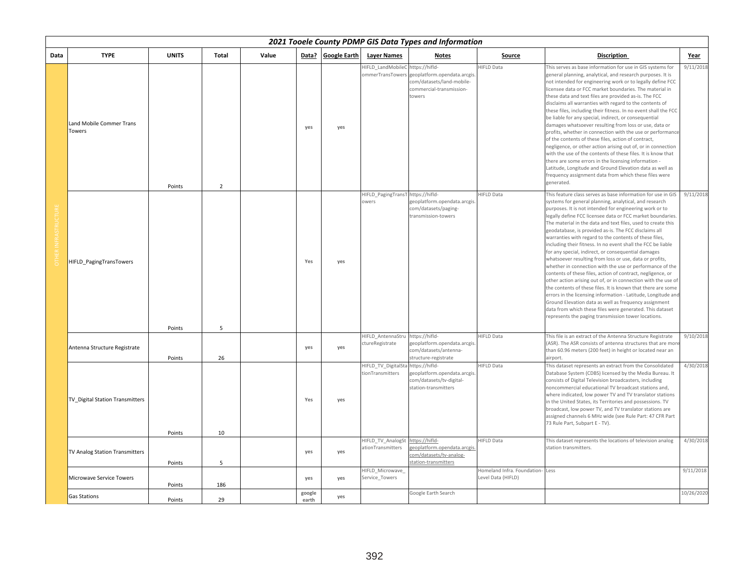|      | 2021 Tooele County PDMP GIS Data Types and Information<br><b>TYPE</b><br><b>UNITS</b><br>Total<br>Value<br>Data?<br><b>Google Earth</b><br><b>Laver Names</b><br><b>Notes</b><br>Source<br><b>Discription</b><br>Year |        |                |  |                 |     |                                            |                                                                                                                   |                                                   |                                                                                                                                                                                                                                                                                                                                                                                                                                                                                                                                                                                                                                                                                                                                                                                                                                                                                                                                                                                                                                                                                                                               |            |  |  |
|------|-----------------------------------------------------------------------------------------------------------------------------------------------------------------------------------------------------------------------|--------|----------------|--|-----------------|-----|--------------------------------------------|-------------------------------------------------------------------------------------------------------------------|---------------------------------------------------|-------------------------------------------------------------------------------------------------------------------------------------------------------------------------------------------------------------------------------------------------------------------------------------------------------------------------------------------------------------------------------------------------------------------------------------------------------------------------------------------------------------------------------------------------------------------------------------------------------------------------------------------------------------------------------------------------------------------------------------------------------------------------------------------------------------------------------------------------------------------------------------------------------------------------------------------------------------------------------------------------------------------------------------------------------------------------------------------------------------------------------|------------|--|--|
| Data |                                                                                                                                                                                                                       |        |                |  |                 |     |                                            |                                                                                                                   |                                                   |                                                                                                                                                                                                                                                                                                                                                                                                                                                                                                                                                                                                                                                                                                                                                                                                                                                                                                                                                                                                                                                                                                                               |            |  |  |
|      | Land Mobile Commer Trans<br>Towers                                                                                                                                                                                    | Points | $\overline{2}$ |  | yes             | yes | HIFLD LandMobileC<br>ommerTransTowers      | https://hifld-<br>geoplatform.opendata.arcgis.<br>com/datasets/land-mobile-<br>commercial-transmission-<br>towers | HIFLD Data                                        | This serves as base information for use in GIS systems for<br>general planning, analytical, and research purposes. It is<br>not intended for engineering work or to legally define FCC<br>licensee data or FCC market boundaries. The material in<br>these data and text files are provided as-is. The FCC<br>disclaims all warranties with regard to the contents of<br>these files, including their fitness. In no event shall the FCC<br>be liable for any special, indirect, or consequential<br>damages whatsoever resulting from loss or use, data or<br>profits, whether in connection with the use or performance<br>of the contents of these files, action of contract,<br>negligence, or other action arising out of, or in connection<br>with the use of the contents of these files. It is know that<br>there are some errors in the licensing information -<br>Latitude, Longitude and Ground Elevation data as well as<br>frequency assignment data from which these files were<br>generated.                                                                                                                   | 9/11/2018  |  |  |
|      | HIFLD_PagingTransTowers                                                                                                                                                                                               | Points | 5              |  | Yes             | yes | HIFLD_PagingTransT https://hifld-<br>owers | geoplatform.opendata.arcgis<br>com/datasets/paging-<br>transmission-towers                                        | HIFLD Data                                        | This feature class serves as base information for use in GIS<br>systems for general planning, analytical, and research<br>purposes. It is not intended for engineering work or to<br>legally define FCC licensee data or FCC market boundaries.<br>The material in the data and text files, used to create this<br>geodatabase, is provided as-is. The FCC disclaims all<br>warranties with regard to the contents of these files,<br>including their fitness. In no event shall the FCC be liable<br>for any special, indirect, or consequential damages<br>whatsoever resulting from loss or use, data or profits,<br>whether in connection with the use or performance of the<br>contents of these files, action of contract, negligence, or<br>other action arising out of, or in connection with the use of<br>the contents of these files. It is known that there are some<br>errors in the licensing information - Latitude, Longitude and<br>Ground Elevation data as well as frequency assignment<br>data from which these files were generated. This dataset<br>represents the paging transmission tower locations. | 9/11/2018  |  |  |
|      | Antenna Structure Registrate                                                                                                                                                                                          | Points | 26             |  | yes             | yes | HIFLD AntennaStru<br>ctureRegistrate       | https://hifld-<br>geoplatform.opendata.arcgis.<br>com/datasets/antenna-<br>structure-registrate                   | <b>HIFLD Data</b>                                 | This file is an extract of the Antenna Structure Registrate<br>(ASR). The ASR consists of antenna structures that are more<br>than 60.96 meters (200 feet) in height or located near an<br>airport.                                                                                                                                                                                                                                                                                                                                                                                                                                                                                                                                                                                                                                                                                                                                                                                                                                                                                                                           | 9/10/2018  |  |  |
|      | TV Digital Station Transmitters                                                                                                                                                                                       | Points | 10             |  | Yes             | yes | HIFLD TV DigitalSta<br>tionTransmitters    | https://hifld-<br>geoplatform.opendata.arcgis<br>com/datasets/tv-digital-<br>station-transmitters                 | <b>HIFLD Data</b>                                 | This dataset represents an extract from the Consolidated<br>Database System (CDBS) licensed by the Media Bureau. It<br>consists of Digital Television broadcasters, including<br>noncommercial educational TV broadcast stations and,<br>where indicated, low power TV and TV translator stations<br>in the United States, its Territories and possessions. TV<br>broadcast, low power TV, and TV translator stations are<br>assigned channels 6 MHz wide (see Rule Part: 47 CFR Part<br>73 Rule Part, Subpart E - TV).                                                                                                                                                                                                                                                                                                                                                                                                                                                                                                                                                                                                       | 4/30/2018  |  |  |
|      | TV Analog Station Transmitters                                                                                                                                                                                        | Points | 5              |  | yes             | yes | HIFLD TV AnalogSt<br>ationTransmitters     | ttps://hifld-<br>eoplatform.opendata.arcgis<br>om/datasets/tv-analog-<br>station-transmitters                     | HIFLD Data                                        | This dataset represents the locations of television analog<br>station transmitters.                                                                                                                                                                                                                                                                                                                                                                                                                                                                                                                                                                                                                                                                                                                                                                                                                                                                                                                                                                                                                                           | 4/30/2018  |  |  |
|      | Microwave Service Towers                                                                                                                                                                                              | Points | 186            |  | yes             | yes | HIFLD Microwave<br>Service_Towers          |                                                                                                                   | Homeland Infra. Foundation-<br>Level Data (HIFLD) | Less                                                                                                                                                                                                                                                                                                                                                                                                                                                                                                                                                                                                                                                                                                                                                                                                                                                                                                                                                                                                                                                                                                                          | 9/11/2018  |  |  |
|      | Gas Stations                                                                                                                                                                                                          | Points | 29             |  | google<br>earth | yes |                                            | Google Earth Search                                                                                               |                                                   |                                                                                                                                                                                                                                                                                                                                                                                                                                                                                                                                                                                                                                                                                                                                                                                                                                                                                                                                                                                                                                                                                                                               | 10/26/2020 |  |  |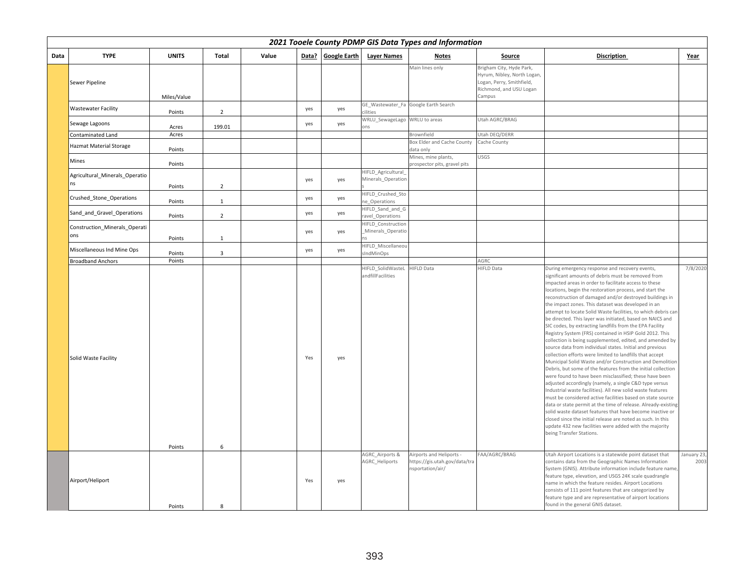|      | 2021 Tooele County PDMP GIS Data Types and Information |              |                |       |       |                     |                                          |                                                                               |                                                                                                                           |                                                                                                                                                                                                                                                                                                                                                                                                                                                                                                                                                                                                                                                                                                                                                                                                                                                                                                                                                                                                                                                                                                                                                                                                                                                                                                                                                                                                                                                  |                    |  |
|------|--------------------------------------------------------|--------------|----------------|-------|-------|---------------------|------------------------------------------|-------------------------------------------------------------------------------|---------------------------------------------------------------------------------------------------------------------------|--------------------------------------------------------------------------------------------------------------------------------------------------------------------------------------------------------------------------------------------------------------------------------------------------------------------------------------------------------------------------------------------------------------------------------------------------------------------------------------------------------------------------------------------------------------------------------------------------------------------------------------------------------------------------------------------------------------------------------------------------------------------------------------------------------------------------------------------------------------------------------------------------------------------------------------------------------------------------------------------------------------------------------------------------------------------------------------------------------------------------------------------------------------------------------------------------------------------------------------------------------------------------------------------------------------------------------------------------------------------------------------------------------------------------------------------------|--------------------|--|
| Data | <b>TYPE</b>                                            | <b>UNITS</b> | Total          | Value | Data? | <b>Google Earth</b> | <b>Layer Names</b>                       | Notes                                                                         | Source                                                                                                                    | <b>Discription</b>                                                                                                                                                                                                                                                                                                                                                                                                                                                                                                                                                                                                                                                                                                                                                                                                                                                                                                                                                                                                                                                                                                                                                                                                                                                                                                                                                                                                                               | Year               |  |
|      | Sewer Pipeline                                         | Miles/Value  |                |       |       |                     |                                          | Main lines only                                                               | Brigham City, Hyde Park,<br>Hyrum, Nibley, North Logan,<br>Logan, Perry, Smithfield,<br>Richmond, and USU Logan<br>Campus |                                                                                                                                                                                                                                                                                                                                                                                                                                                                                                                                                                                                                                                                                                                                                                                                                                                                                                                                                                                                                                                                                                                                                                                                                                                                                                                                                                                                                                                  |                    |  |
|      | <b>Wastewater Facility</b>                             | Points       | $\overline{2}$ |       | yes   | yes                 | cilities                                 | GE_Wastewater_Fa Google Earth Search                                          |                                                                                                                           |                                                                                                                                                                                                                                                                                                                                                                                                                                                                                                                                                                                                                                                                                                                                                                                                                                                                                                                                                                                                                                                                                                                                                                                                                                                                                                                                                                                                                                                  |                    |  |
|      | Sewage Lagoons                                         | Acres        | 199.01         |       | yes   | yes                 | WRLU SewageLago<br>ons                   | WRLU to areas                                                                 | Utah AGRC/BRAG                                                                                                            |                                                                                                                                                                                                                                                                                                                                                                                                                                                                                                                                                                                                                                                                                                                                                                                                                                                                                                                                                                                                                                                                                                                                                                                                                                                                                                                                                                                                                                                  |                    |  |
|      | Contaminated Land                                      | Acres        |                |       |       |                     |                                          | Brownfield                                                                    | Utah DEQ/DERR                                                                                                             |                                                                                                                                                                                                                                                                                                                                                                                                                                                                                                                                                                                                                                                                                                                                                                                                                                                                                                                                                                                                                                                                                                                                                                                                                                                                                                                                                                                                                                                  |                    |  |
|      | Hazmat Material Storage                                | Points       |                |       |       |                     |                                          | Box Elder and Cache County<br>data only                                       | Cache County                                                                                                              |                                                                                                                                                                                                                                                                                                                                                                                                                                                                                                                                                                                                                                                                                                                                                                                                                                                                                                                                                                                                                                                                                                                                                                                                                                                                                                                                                                                                                                                  |                    |  |
|      | <b>Mines</b>                                           | Points       |                |       |       |                     |                                          | Mines, mine plants,<br>prospector pits, gravel pits                           | <b>USGS</b>                                                                                                               |                                                                                                                                                                                                                                                                                                                                                                                                                                                                                                                                                                                                                                                                                                                                                                                                                                                                                                                                                                                                                                                                                                                                                                                                                                                                                                                                                                                                                                                  |                    |  |
|      | Agricultural_Minerals_Operatio<br>Ins                  | Points       | $\overline{2}$ |       | yes   | yes                 | HIFLD Agricultural<br>Minerals_Operation |                                                                               |                                                                                                                           |                                                                                                                                                                                                                                                                                                                                                                                                                                                                                                                                                                                                                                                                                                                                                                                                                                                                                                                                                                                                                                                                                                                                                                                                                                                                                                                                                                                                                                                  |                    |  |
|      | Crushed Stone Operations                               | Points       | $\mathbf{1}$   |       | yes   | yes                 | HIFLD Crushed Sto<br>ne Operations       |                                                                               |                                                                                                                           |                                                                                                                                                                                                                                                                                                                                                                                                                                                                                                                                                                                                                                                                                                                                                                                                                                                                                                                                                                                                                                                                                                                                                                                                                                                                                                                                                                                                                                                  |                    |  |
|      | Sand and Gravel Operations                             | Points       | $\overline{2}$ |       | yes   | yes                 | HIFLD_Sand_and_G<br>ravel Operations     |                                                                               |                                                                                                                           |                                                                                                                                                                                                                                                                                                                                                                                                                                                                                                                                                                                                                                                                                                                                                                                                                                                                                                                                                                                                                                                                                                                                                                                                                                                                                                                                                                                                                                                  |                    |  |
|      | Construction Minerals Operati<br>ons                   | Points       | $\mathbf{1}$   |       | yes   | yes                 | HIFLD Construction<br>Minerals Operatio  |                                                                               |                                                                                                                           |                                                                                                                                                                                                                                                                                                                                                                                                                                                                                                                                                                                                                                                                                                                                                                                                                                                                                                                                                                                                                                                                                                                                                                                                                                                                                                                                                                                                                                                  |                    |  |
|      | Miscellaneous Ind Mine Ops                             | Points       | $\overline{3}$ |       | yes   | yes                 | HIFLD Miscellaneou<br>sIndMinOps         |                                                                               |                                                                                                                           |                                                                                                                                                                                                                                                                                                                                                                                                                                                                                                                                                                                                                                                                                                                                                                                                                                                                                                                                                                                                                                                                                                                                                                                                                                                                                                                                                                                                                                                  |                    |  |
|      | <b>Broadband Anchors</b>                               | Points       |                |       |       |                     |                                          |                                                                               | AGRC                                                                                                                      |                                                                                                                                                                                                                                                                                                                                                                                                                                                                                                                                                                                                                                                                                                                                                                                                                                                                                                                                                                                                                                                                                                                                                                                                                                                                                                                                                                                                                                                  |                    |  |
|      | Solid Waste Facility                                   | Points       | 6              |       | Yes   | yes                 | HIFLD SolidWasteL<br>andfillFacilities   | HIFLD Data                                                                    | <b>HIFLD Data</b>                                                                                                         | During emergency response and recovery events,<br>significant amounts of debris must be removed from<br>mpacted areas in order to facilitate access to these<br>locations, begin the restoration process, and start the<br>reconstruction of damaged and/or destroyed buildings in<br>the impact zones. This dataset was developed in an<br>attempt to locate Solid Waste facilities, to which debris can<br>be directed. This layer was initiated, based on NAICS and<br>SIC codes, by extracting landfills from the EPA Facility<br>Registry System (FRS) contained in HSIP Gold 2012. This<br>collection is being supplemented, edited, and amended by<br>source data from individual states. Initial and previous<br>collection efforts were limited to landfills that accept<br>Municipal Solid Waste and/or Construction and Demolition<br>Debris, but some of the features from the initial collection<br>were found to have been misclassified; these have been<br>adjusted accordingly (namely, a single C&D type versus<br>Industrial waste facilities). All new solid waste features<br>must be considered active facilities based on state source<br>data or state permit at the time of release. Already-existing<br>solid waste dataset features that have become inactive or<br>closed since the initial release are noted as such. In this<br>update 432 new facilities were added with the majority<br>being Transfer Stations. | 7/8/2020           |  |
|      | Airport/Heliport                                       | Points       | 8              |       | Yes   | yes                 | AGRC_Airports &<br>AGRC_Heliports        | Airports and Heliports -<br>https://gis.utah.gov/data/tra<br>nsportation/air/ | FAA/AGRC/BRAG                                                                                                             | Utah Airport Locations is a statewide point dataset that<br>contains data from the Geographic Names Information<br>System (GNIS). Attribute information include feature name,<br>feature type, elevation, and USGS 24K scale quadrangle<br>name in which the feature resides. Airport Locations<br>consists of 111 point features that are categorized by<br>feature type and are representative of airport locations<br>found in the general GNIS dataset.                                                                                                                                                                                                                                                                                                                                                                                                                                                                                                                                                                                                                                                                                                                                                                                                                                                                                                                                                                                      | January 23<br>2003 |  |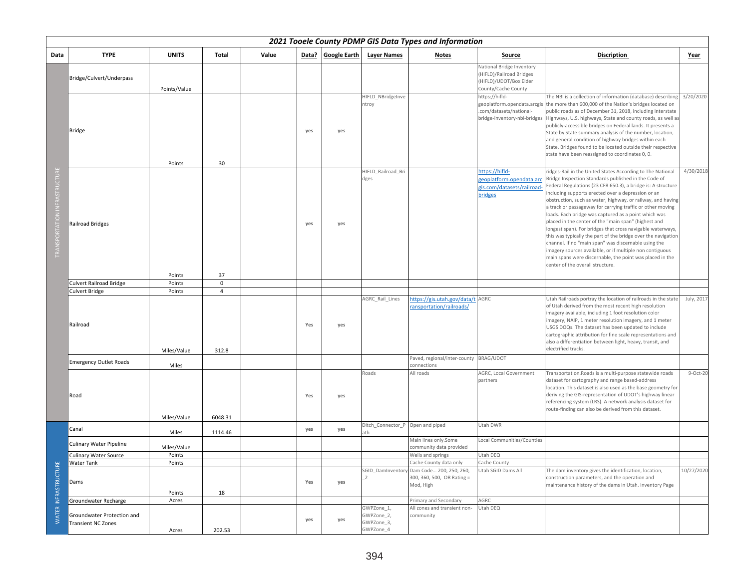|                             |                                                         |                      |                    |       |       |              |                                                     | 2021 Tooele County PDMP GIS Data Types and Information             |                                                                                                          |                                                                                                                                                                                                                                                                                                                                                                                                                                                                                                                                                                                                                                                                                                                                                                                                                                          |            |
|-----------------------------|---------------------------------------------------------|----------------------|--------------------|-------|-------|--------------|-----------------------------------------------------|--------------------------------------------------------------------|----------------------------------------------------------------------------------------------------------|------------------------------------------------------------------------------------------------------------------------------------------------------------------------------------------------------------------------------------------------------------------------------------------------------------------------------------------------------------------------------------------------------------------------------------------------------------------------------------------------------------------------------------------------------------------------------------------------------------------------------------------------------------------------------------------------------------------------------------------------------------------------------------------------------------------------------------------|------------|
| Data                        | <b>TYPE</b>                                             | <b>UNITS</b>         | Total              | Value | Data? | Google Earth | <b>Layer Names</b>                                  | <b>Notes</b>                                                       | Source                                                                                                   | <b>Discription</b>                                                                                                                                                                                                                                                                                                                                                                                                                                                                                                                                                                                                                                                                                                                                                                                                                       | Year       |
|                             | Bridge/Culvert/Underpass                                | Points/Value         |                    |       |       |              |                                                     |                                                                    | National Bridge Inventory<br>(HIFLD)/Railroad Bridges<br>(HIFLD)/UDOT/Box Elder<br>County/Cache County   |                                                                                                                                                                                                                                                                                                                                                                                                                                                                                                                                                                                                                                                                                                                                                                                                                                          |            |
|                             | <b>Bridge</b>                                           | Points               | 30                 |       | yes   | yes          | HIFLD NBridgeInve<br>ntroy                          |                                                                    | https://hifld-<br>geoplatform.opendata.arcgis<br>.com/datasets/national-<br>bridge-inventory-nbi-bridges | The NBI is a collection of information (database) describing<br>the more than 600,000 of the Nation's bridges located on<br>public roads as of December 31, 2018, including Interstate<br>Highways, U.S. highways, State and county roads, as well as<br>publicly-accessible bridges on Federal lands. It presents a<br>State by State summary analysis of the number, location,<br>and general condition of highway bridges within each<br>State. Bridges found to be located outside their respective<br>state have been reassigned to coordinates 0, 0.                                                                                                                                                                                                                                                                               | 3/20/2020  |
|                             | <b>Railroad Bridges</b>                                 | Points               | 37                 |       | yes   | yes          | HIFLD Railroad Bri<br>dges                          |                                                                    | https://hifld-<br>geoplatform.opendata.arc<br>gis.com/datasets/railroad-<br><b>bridges</b>               | ridges-Rail in the United States According to The National<br>Bridge Inspection Standards published in the Code of<br>Federal Regulations (23 CFR 650.3), a bridge is: A structure<br>including supports erected over a depression or an<br>obstruction, such as water, highway, or railway, and having<br>a track or passageway for carrying traffic or other moving<br>loads. Each bridge was captured as a point which was<br>placed in the center of the "main span" (highest and<br>longest span). For bridges that cross navigable waterways,<br>this was typically the part of the bridge over the navigation<br>channel. If no "main span" was discernable using the<br>imagery sources available, or if multiple non contiguous<br>main spans were discernable, the point was placed in the<br>center of the overall structure. | 4/30/2018  |
|                             | <b>Culvert Railroad Bridge</b>                          | Points               | $\mathbf 0$        |       |       |              |                                                     |                                                                    |                                                                                                          |                                                                                                                                                                                                                                                                                                                                                                                                                                                                                                                                                                                                                                                                                                                                                                                                                                          |            |
|                             | <b>Culvert Bridge</b>                                   | Points               | $\overline{4}$     |       |       |              |                                                     |                                                                    |                                                                                                          |                                                                                                                                                                                                                                                                                                                                                                                                                                                                                                                                                                                                                                                                                                                                                                                                                                          |            |
|                             | Railroad                                                | Miles/Value          | 312.8              |       | Yes   | yes          | AGRC_Rail_Lines                                     | nttps://gis.utah.gov/data/t AGRC<br>ransportation/railroads/       |                                                                                                          | Utah Railroads portray the location of railroads in the state<br>of Utah derived from the most recent high resolution<br>imagery available, including 1 foot resolution color<br>imagery, NAIP, 1 meter resolution imagery, and 1 meter<br>USGS DOQs. The dataset has been updated to include<br>cartographic attribution for fine scale representations and<br>also a differentiation between light, heavy, transit, and<br>electrified tracks.                                                                                                                                                                                                                                                                                                                                                                                         | July, 2017 |
|                             | <b>Emergency Outlet Roads</b>                           | Miles                |                    |       |       |              |                                                     | Paved, regional/inter-county BRAG/UDOT<br>connections              |                                                                                                          |                                                                                                                                                                                                                                                                                                                                                                                                                                                                                                                                                                                                                                                                                                                                                                                                                                          |            |
|                             | Road                                                    |                      |                    |       | Yes   | yes          | Roads                                               | All roads                                                          | AGRC, Local Government<br>partners                                                                       | Transportation. Roads is a multi-purpose statewide roads<br>dataset for cartography and range based-address<br>location. This dataset is also used as the base geometry for<br>deriving the GIS-representation of UDOT's highway linear<br>referencing system (LRS). A network analysis dataset for<br>route-finding can also be derived from this dataset.                                                                                                                                                                                                                                                                                                                                                                                                                                                                              | $9-Oct-20$ |
|                             | Canal                                                   | Miles/Value<br>Miles | 6048.31<br>1114.46 |       | yes   | yes          | Ditch_Connector_P Open and piped<br>ath             |                                                                    | Utah DWR                                                                                                 |                                                                                                                                                                                                                                                                                                                                                                                                                                                                                                                                                                                                                                                                                                                                                                                                                                          |            |
|                             | <b>Culinary Water Pipeline</b>                          | Miles/Value          |                    |       |       |              |                                                     | Main lines only.Some<br>community data provided                    | Local Communities/Counties                                                                               |                                                                                                                                                                                                                                                                                                                                                                                                                                                                                                                                                                                                                                                                                                                                                                                                                                          |            |
|                             | Culinary Water Source                                   | Points               |                    |       |       |              |                                                     | Wells and springs                                                  | Utah DEQ                                                                                                 |                                                                                                                                                                                                                                                                                                                                                                                                                                                                                                                                                                                                                                                                                                                                                                                                                                          |            |
|                             | Water Tank                                              | Points               |                    |       |       |              |                                                     | Cache County data only                                             | Cache County                                                                                             |                                                                                                                                                                                                                                                                                                                                                                                                                                                                                                                                                                                                                                                                                                                                                                                                                                          |            |
| <b>WATER INFRASTRUCTURE</b> | Dams                                                    | Points               | 18                 |       | Yes   | yes          | SGID DamInventory<br>2                              | Dam Code 200, 250, 260,<br>300, 360, 500, OR Rating =<br>Mod, High | Utah SGID Dams All                                                                                       | The dam inventory gives the identification, location,<br>construction parameters, and the operation and<br>maintenance history of the dams in Utah. Inventory Page                                                                                                                                                                                                                                                                                                                                                                                                                                                                                                                                                                                                                                                                       | 10/27/2020 |
|                             | Groundwater Recharge                                    | Acres                |                    |       |       |              |                                                     | Primary and Secondary                                              | AGRC                                                                                                     |                                                                                                                                                                                                                                                                                                                                                                                                                                                                                                                                                                                                                                                                                                                                                                                                                                          |            |
|                             | Groundwater Protection and<br><b>Transient NC Zones</b> | Acres                | 202.53             |       | yes   | yes          | GWPZone 1,<br>GWPZone_2,<br>GWPZone_3,<br>GWPZone_4 | All zones and transient non-<br>community                          | Utah DEQ                                                                                                 |                                                                                                                                                                                                                                                                                                                                                                                                                                                                                                                                                                                                                                                                                                                                                                                                                                          |            |

## 394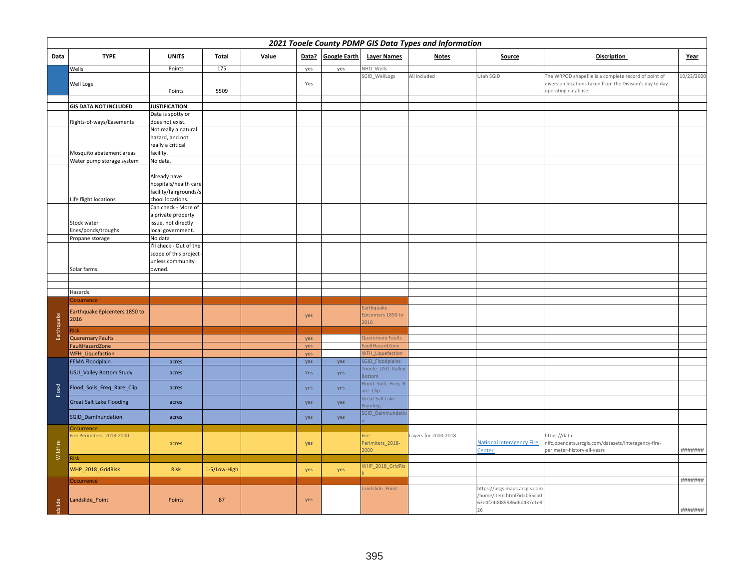|            | 2021 Tooele County PDMP GIS Data Types and Information |                                                  |                 |       |            |                     |                                      |                      |                                                             |                                                                                                                  |            |  |
|------------|--------------------------------------------------------|--------------------------------------------------|-----------------|-------|------------|---------------------|--------------------------------------|----------------------|-------------------------------------------------------------|------------------------------------------------------------------------------------------------------------------|------------|--|
| Data       | <b>TYPE</b>                                            | <b>UNITS</b>                                     | Total           | Value | Data?      | <b>Google Earth</b> | <b>Layer Names</b>                   | <b>Notes</b>         | Source                                                      | <b>Discription</b>                                                                                               | Year       |  |
|            | Wells<br>Well Logs                                     | Points                                           | $\frac{175}{2}$ |       | yes<br>Yes | yes                 | NHD Wells<br>SGID_WellLogs           | All included         | Utah SGID                                                   | The WRPOD shapefile is a complete record of point of<br>diversion locations taken from the Division's day to day | 10/23/2020 |  |
|            |                                                        | Points                                           | 5509            |       |            |                     |                                      |                      |                                                             | operating database.                                                                                              |            |  |
|            | <b>GIS DATA NOT INCLUDED</b>                           | <b>JUSTIFICATION</b>                             |                 |       |            |                     |                                      |                      |                                                             |                                                                                                                  |            |  |
|            |                                                        | Data is spotty or<br>does not exist.             |                 |       |            |                     |                                      |                      |                                                             |                                                                                                                  |            |  |
|            | Rights-of-ways/Easements                               | Not really a natural                             |                 |       |            |                     |                                      |                      |                                                             |                                                                                                                  |            |  |
|            |                                                        | hazard, and not                                  |                 |       |            |                     |                                      |                      |                                                             |                                                                                                                  |            |  |
|            |                                                        | really a critical                                |                 |       |            |                     |                                      |                      |                                                             |                                                                                                                  |            |  |
|            | Mosquito abatement areas<br>Water pump storage system  | facility.<br>No data.                            |                 |       |            |                     |                                      |                      |                                                             |                                                                                                                  |            |  |
|            |                                                        |                                                  |                 |       |            |                     |                                      |                      |                                                             |                                                                                                                  |            |  |
|            |                                                        | Already have                                     |                 |       |            |                     |                                      |                      |                                                             |                                                                                                                  |            |  |
|            |                                                        | hospitals/health care<br>facility/fairgrounds/s  |                 |       |            |                     |                                      |                      |                                                             |                                                                                                                  |            |  |
|            | Life flight locations                                  | chool locations.                                 |                 |       |            |                     |                                      |                      |                                                             |                                                                                                                  |            |  |
|            |                                                        | Can check - More of                              |                 |       |            |                     |                                      |                      |                                                             |                                                                                                                  |            |  |
|            | Stock water                                            | a private property<br>issue, not directly        |                 |       |            |                     |                                      |                      |                                                             |                                                                                                                  |            |  |
|            | lines/ponds/troughs                                    | local government.                                |                 |       |            |                     |                                      |                      |                                                             |                                                                                                                  |            |  |
|            | Propane storage                                        | No data                                          |                 |       |            |                     |                                      |                      |                                                             |                                                                                                                  |            |  |
|            |                                                        | I'll check - Out of the<br>scope of this project |                 |       |            |                     |                                      |                      |                                                             |                                                                                                                  |            |  |
|            |                                                        | unless community                                 |                 |       |            |                     |                                      |                      |                                                             |                                                                                                                  |            |  |
|            | Solar farms                                            | owned.                                           |                 |       |            |                     |                                      |                      |                                                             |                                                                                                                  |            |  |
|            |                                                        |                                                  |                 |       |            |                     |                                      |                      |                                                             |                                                                                                                  |            |  |
|            | Hazards                                                |                                                  |                 |       |            |                     |                                      |                      |                                                             |                                                                                                                  |            |  |
|            | <b>Occurrence</b>                                      |                                                  |                 |       |            |                     | Earthquake                           |                      |                                                             |                                                                                                                  |            |  |
| Earthquake | Earthquake Epicenters 1850 to<br>2016                  |                                                  |                 |       | yes        |                     | Epicenters 1850 to<br>2016           |                      |                                                             |                                                                                                                  |            |  |
|            |                                                        |                                                  |                 |       |            |                     |                                      |                      |                                                             |                                                                                                                  |            |  |
|            | <b>Quarernary Faults</b><br>FaultHazardZone            |                                                  |                 |       | yes<br>yes |                     | Quarernary Faults<br>aultHazardZone  |                      |                                                             |                                                                                                                  |            |  |
|            | <b>WFH Liquefaction</b>                                |                                                  |                 |       | yes        |                     | <b>NFH_Liquefaction</b>              |                      |                                                             |                                                                                                                  |            |  |
|            | <b>FEMA Floodplain</b>                                 | acres                                            |                 |       | yes        | yes                 | GID_Floodplains<br>Tooele_USU_Valley |                      |                                                             |                                                                                                                  |            |  |
|            | USU_Valley Bottom Study                                | acres                                            |                 |       | Yes        | yes                 | Bottom<br>Flood_Soils_Freq_R         |                      |                                                             |                                                                                                                  |            |  |
| Flood      | Flood_Soils_Freq_Rare_Clip                             | acres                                            |                 |       | yes        | yes                 | are_Clip<br>Great Salt Lake          |                      |                                                             |                                                                                                                  |            |  |
|            | <b>Great Salt Lake Flooding</b>                        | acres                                            |                 |       | yes        | yes                 | looding<br>SGID DamInundatio         |                      |                                                             |                                                                                                                  |            |  |
|            | SGID_DamInundation                                     | acres                                            |                 |       | yes        | yes                 |                                      |                      |                                                             |                                                                                                                  |            |  |
|            | Occurrence<br>Fire Perimiters_2018-2000                |                                                  |                 |       |            |                     | Fire                                 | Layers for 2000-2018 |                                                             | -ttps://data                                                                                                     |            |  |
| Wildfire   |                                                        | acres                                            |                 |       | yes        |                     | Perimiters_2018-<br>2000             |                      | National Interagency Fire<br>Center                         | nifc.opendata.arcgis.com/datasets/interagency-fire-<br>perimeter-history-all-years                               | #######    |  |
|            | <b>Risk</b><br>WHP_2018_GridRisk                       | <b>Risk</b>                                      | 1-5/Low-High    |       | yes        | yes                 | WHP_2018_GridRis                     |                      |                                                             |                                                                                                                  |            |  |
|            | Occurrence                                             |                                                  |                 |       |            |                     |                                      |                      |                                                             |                                                                                                                  | #######    |  |
|            |                                                        |                                                  |                 |       |            |                     | andslide_Point                       |                      | https://usgs.maps.arcgis.con                                |                                                                                                                  |            |  |
| dslide     | Landslide_Point                                        | Points                                           | 87              |       | yes        |                     |                                      |                      | /home/item.html?id=b55cb0<br>63e4f240089986d6d437c1e9<br>26 |                                                                                                                  | #######    |  |
|            |                                                        |                                                  |                 |       |            |                     |                                      |                      |                                                             |                                                                                                                  |            |  |